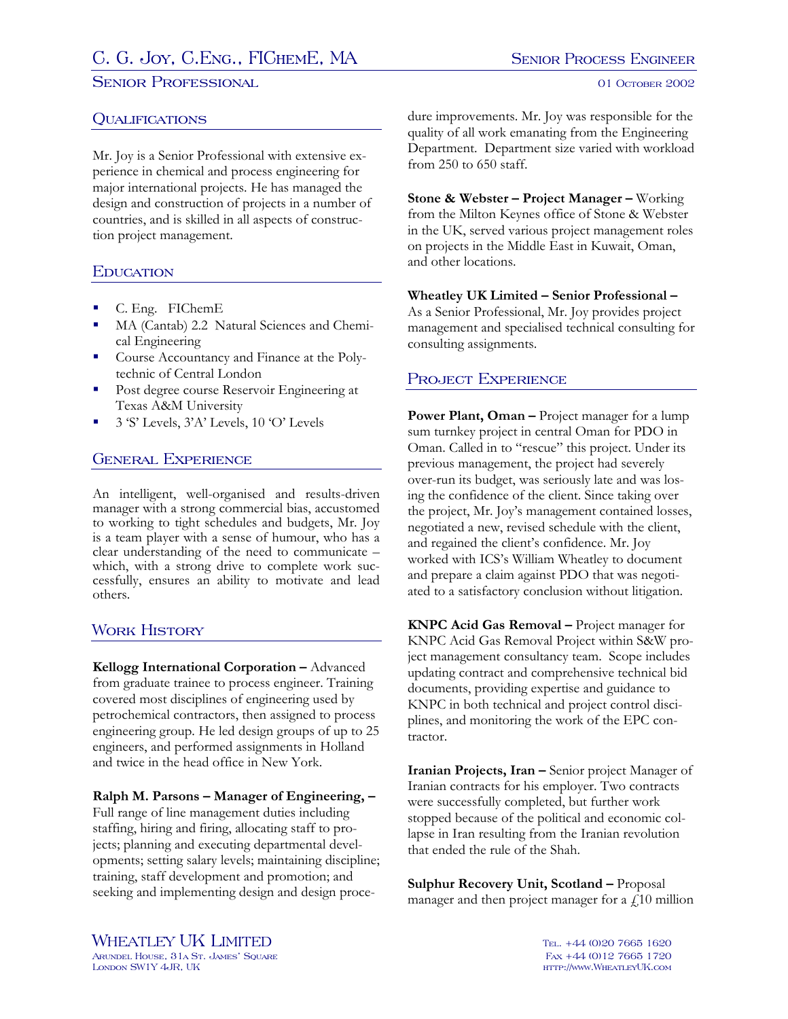# C. G. JOY, C.ENG., FICHEME, MA SENIOR PROCESS ENGINEER

#### SENIOR PROFESSIONAL **SENIOR PROFESSIONAL**

## **QUALIFICATIONS**

Mr. Joy is a Senior Professional with extensive experience in chemical and process engineering for major international projects. He has managed the design and construction of projects in a number of countries, and is skilled in all aspects of construction project management.

## **EDUCATION**

- a i C. Eng. FIChemE
- a i MA (Cantab) 2.2 Natural Sciences and Chemical Engineering
- **Course Accountancy and Finance at the Poly**technic of Central London
- a i Post degree course Reservoir Engineering at Texas A&M University
- 3 'S' Levels, 3'A' Levels, 10 'O' Levels

# General Experience

An intelligent, well-organised and results-driven manager with a strong commercial bias, accustomed to working to tight schedules and budgets, Mr. Joy is a team player with a sense of humour, who has a clear understanding of the need to communicate – which, with a strong drive to complete work successfully, ensures an ability to motivate and lead others.

## WORK HISTORY

**Kellogg International Corporation –** Advanced from graduate trainee to process engineer. Training covered most disciplines of engineering used by petrochemical contractors, then assigned to process engineering group. He led design groups of up to 25 engineers, and performed assignments in Holland and twice in the head office in New York.

#### **Ralph M. Parsons – Manager of Engineering, –**

Full range of line management duties including staffing, hiring and firing, allocating staff to projects; planning and executing departmental developments; setting salary levels; maintaining discipline; training, staff development and promotion; and seeking and implementing design and design procedure improvements. Mr. Joy was responsible for the quality of all work emanating from the Engineering Department. Department size varied with workload from 250 to 650 staff.

**Stone & Webster – Project Manager –** Working from the Milton Keynes office of Stone & Webster in the UK, served various project management roles on projects in the Middle East in Kuwait, Oman, and other locations.

#### **Wheatley UK Limited – Senior Professional –**  As a Senior Professional, Mr. Joy provides project management and specialised technical consulting for consulting assignments.

# PROJECT EXPERIENCE

Power Plant, Oman - Project manager for a lump sum turnkey project in central Oman for PDO in Oman. Called in to "rescue" this project. Under its previous management, the project had severely over-run its budget, was seriously late and was losing the confidence of the client. Since taking over the project, Mr. Joy's management contained losses, negotiated a new, revised schedule with the client, and regained the client's confidence. Mr. Joy worked with ICS's William Wheatley to document and prepare a claim against PDO that was negotiated to a satisfactory conclusion without litigation.

**KNPC Acid Gas Removal –** Project manager for KNPC Acid Gas Removal Project within S&W project management consultancy team. Scope includes updating contract and comprehensive technical bid documents, providing expertise and guidance to KNPC in both technical and project control disciplines, and monitoring the work of the EPC contractor.

**Iranian Projects, Iran –** Senior project Manager of Iranian contracts for his employer. Two contracts were successfully completed, but further work stopped because of the political and economic collapse in Iran resulting from the Iranian revolution that ended the rule of the Shah.

**Sulphur Recovery Unit, Scotland –** Proposal manager and then project manager for a  $\hat{f}$  10 million